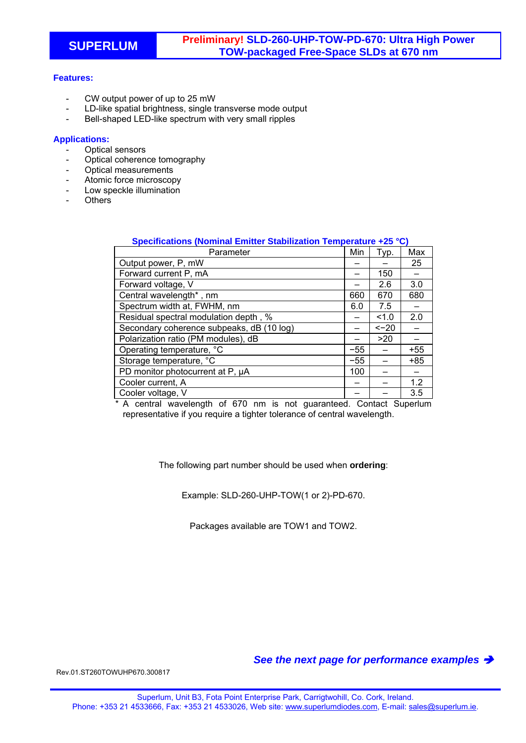## **Features:**

- CW output power of up to 25 mW
- LD-like spatial brightness, single transverse mode output
- Bell-shaped LED-like spectrum with very small ripples

## **Applications:**

- Optical sensors
- Optical coherence tomography
- Optical measurements
- Atomic force microscopy
- Low speckle illumination
- Others

| Specifications (Nominal Emitter Stabilization Temperature +25 °C) |       |        |       |
|-------------------------------------------------------------------|-------|--------|-------|
| Parameter                                                         | Min   | Typ.   | Max   |
| Output power, P, mW                                               |       |        | 25    |
| Forward current P, mA                                             |       | 150    |       |
| Forward voltage, V                                                |       | 2.6    | 3.0   |
| Central wavelength*, nm                                           | 660   | 670    | 680   |
| Spectrum width at, FWHM, nm                                       | 6.0   | 7.5    |       |
| Residual spectral modulation depth, %                             |       | 1.0    | 2.0   |
| Secondary coherence subpeaks, dB (10 log)                         |       | $<-20$ |       |
| Polarization ratio (PM modules), dB                               |       | >20    |       |
| Operating temperature, °C                                         | $-55$ |        | $+55$ |
| Storage temperature, °C                                           | $-55$ |        | $+85$ |
| PD monitor photocurrent at P, µA                                  | 100   |        |       |
| Cooler current, A                                                 |       |        | 1.2   |
| Cooler voltage, V                                                 |       |        | 3.5   |

\* A central wavelength of 670 nm is not guaranteed. Contact Superlum representative if you require a tighter tolerance of central wavelength.

The following part number should be used when **ordering**:

Example: SLD-260-UHP-TOW(1 or 2)-PD-670.

Packages available are TOW1 and TOW2.

*See the next page for performance examples* 

Rev.01.ST260TOWUHP670.300817